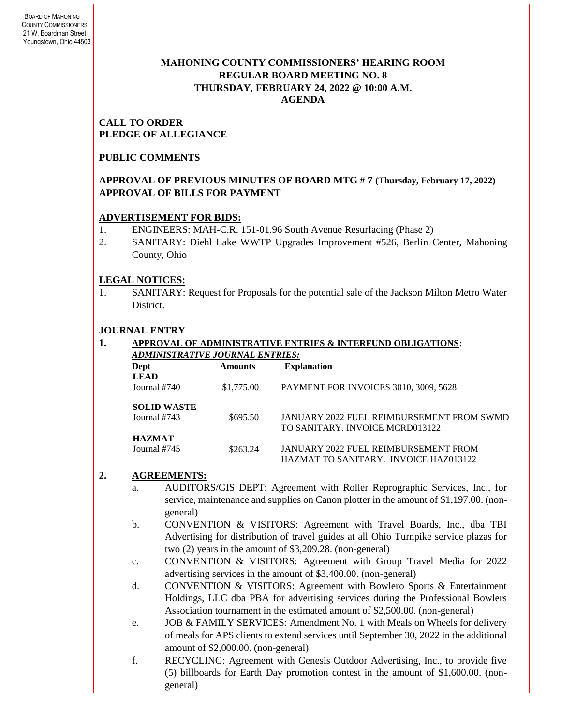### **MAHONING COUNTY COMMISSIONERS' HEARING ROOM REGULAR BOARD MEETING NO. 8 THURSDAY***,* **FEBRUARY 24, 2022 @ 10:00 A.M. AGENDA**

#### **CALL TO ORDER PLEDGE OF ALLEGIANCE**

## **PUBLIC COMMENTS**

### **APPROVAL OF PREVIOUS MINUTES OF BOARD MTG # 7 (Thursday, February 17, 2022) APPROVAL OF BILLS FOR PAYMENT**

### **ADVERTISEMENT FOR BIDS:**

- 1. ENGINEERS: MAH-C.R. 151-01.96 South Avenue Resurfacing (Phase 2)
- 2. SANITARY: Diehl Lake WWTP Upgrades Improvement #526, Berlin Center, Mahoning County, Ohio

## **LEGAL NOTICES:**

1. SANITARY: Request for Proposals for the potential sale of the Jackson Milton Metro Water District.

## **JOURNAL ENTRY**

#### **1. APPROVAL OF ADMINISTRATIVE ENTRIES & INTERFUND OBLIGATIONS:**  *ADMINISTRATIVE JOURNAL ENTRIES:*

| Dept               | <b>Amounts</b> | <b>Explanation</b>                               |
|--------------------|----------------|--------------------------------------------------|
| <b>LEAD</b>        |                |                                                  |
| Journal #740       | \$1,775.00     | PAYMENT FOR INVOICES 3010, 3009, 5628            |
| <b>SOLID WASTE</b> |                |                                                  |
| Journal #743       | \$695.50       | <b>JANUARY 2022 FUEL REIMBURSEMENT FROM SWMD</b> |
|                    |                | TO SANITARY. INVOICE MCRD013122                  |
| <b>HAZMAT</b>      |                |                                                  |
| Journal #745       | \$263.24       | JANUARY 2022 FUEL REIMBURSEMENT FROM             |
|                    |                | HAZMAT TO SANITARY. INVOICE HAZ013122            |

### **2. AGREEMENTS:**

- a. AUDITORS/GIS DEPT: Agreement with Roller Reprographic Services, Inc., for service, maintenance and supplies on Canon plotter in the amount of \$1,197.00. (nongeneral)
- b. CONVENTION & VISITORS: Agreement with Travel Boards, Inc., dba TBI Advertising for distribution of travel guides at all Ohio Turnpike service plazas for two (2) years in the amount of \$3,209.28. (non-general)
- c. CONVENTION & VISITORS: Agreement with Group Travel Media for 2022 advertising services in the amount of \$3,400.00. (non-general)
- d. CONVENTION & VISITORS: Agreement with Bowlero Sports & Entertainment Holdings, LLC dba PBA for advertising services during the Professional Bowlers Association tournament in the estimated amount of \$2,500.00. (non-general)
- e. JOB & FAMILY SERVICES: Amendment No. 1 with Meals on Wheels for delivery of meals for APS clients to extend services until September 30, 2022 in the additional amount of \$2,000.00. (non-general)
- f. RECYCLING: Agreement with Genesis Outdoor Advertising, Inc., to provide five (5) billboards for Earth Day promotion contest in the amount of \$1,600.00. (nongeneral)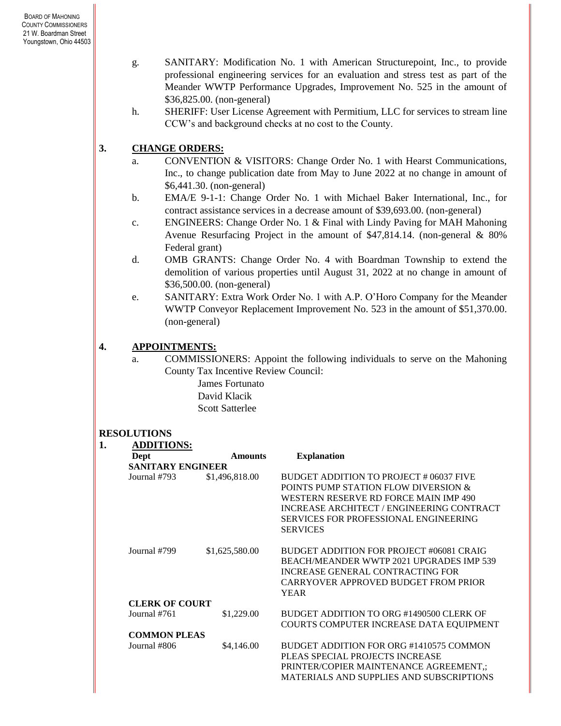- g. SANITARY: Modification No. 1 with American Structurepoint, Inc., to provide professional engineering services for an evaluation and stress test as part of the Meander WWTP Performance Upgrades, Improvement No. 525 in the amount of \$36,825.00. (non-general)
- h. SHERIFF: User License Agreement with Permitium, LLC for services to stream line CCW's and background checks at no cost to the County.

# **3. CHANGE ORDERS:**

- a. CONVENTION & VISITORS: Change Order No. 1 with Hearst Communications, Inc., to change publication date from May to June 2022 at no change in amount of \$6,441.30. (non-general)
- b. EMA/E 9-1-1: Change Order No. 1 with Michael Baker International, Inc., for contract assistance services in a decrease amount of \$39,693.00. (non-general)
- c. ENGINEERS: Change Order No. 1 & Final with Lindy Paving for MAH Mahoning Avenue Resurfacing Project in the amount of \$47,814.14. (non-general & 80% Federal grant)
- d. OMB GRANTS: Change Order No. 4 with Boardman Township to extend the demolition of various properties until August 31, 2022 at no change in amount of \$36,500.00. (non-general)
- e. SANITARY: Extra Work Order No. 1 with A.P. O'Horo Company for the Meander WWTP Conveyor Replacement Improvement No. 523 in the amount of \$51,370.00. (non-general)

## **4. APPOINTMENTS:**

a. COMMISSIONERS: Appoint the following individuals to serve on the Mahoning County Tax Incentive Review Council:

> James Fortunato David Klacik Scott Satterlee

### **RESOLUTIONS**

| 1. | <b>ADDITIONS:</b>        |                |                                                                                                                                                                                                                                          |
|----|--------------------------|----------------|------------------------------------------------------------------------------------------------------------------------------------------------------------------------------------------------------------------------------------------|
|    | Dept                     | <b>Amounts</b> | <b>Explanation</b>                                                                                                                                                                                                                       |
|    | <b>SANITARY ENGINEER</b> |                |                                                                                                                                                                                                                                          |
|    | Journal #793             | \$1,496,818.00 | BUDGET ADDITION TO PROJECT # 06037 FIVE<br>POINTS PUMP STATION FLOW DIVERSION &<br>WESTERN RESERVE RD FORCE MAIN IMP 490<br>INCREASE ARCHITECT / ENGINEERING CONTRACT<br><b>SERVICES FOR PROFESSIONAL ENGINEERING</b><br><b>SERVICES</b> |
|    | Journal #799             | \$1,625,580.00 | BUDGET ADDITION FOR PROJECT #06081 CRAIG<br>BEACH/MEANDER WWTP 2021 UPGRADES IMP 539<br><b>INCREASE GENERAL CONTRACTING FOR</b><br>CARRYOVER APPROVED BUDGET FROM PRIOR<br><b>YEAR</b>                                                   |
|    | <b>CLERK OF COURT</b>    |                |                                                                                                                                                                                                                                          |
|    | Journal #761             | \$1,229.00     | BUDGET ADDITION TO ORG #1490500 CLERK OF<br>COURTS COMPUTER INCREASE DATA EQUIPMENT                                                                                                                                                      |
|    | <b>COMMON PLEAS</b>      |                |                                                                                                                                                                                                                                          |
|    | Journal #806             | \$4,146.00     | BUDGET ADDITION FOR ORG #1410575 COMMON<br>PLEAS SPECIAL PROJECTS INCREASE<br>PRINTER/COPIER MAINTENANCE AGREEMENT,;<br>MATERIALS AND SUPPLIES AND SUBSCRIPTIONS                                                                         |